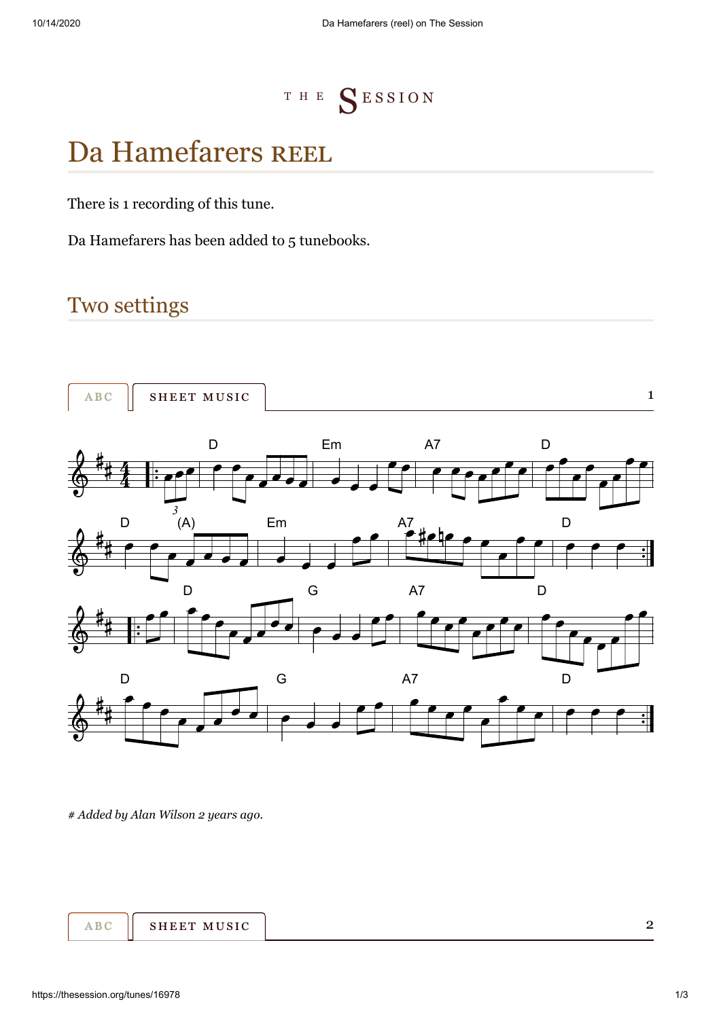<sup>T</sup> <sup>H</sup> <sup>E</sup> [S](https://thesession.org/) E S S I O N

# DaHamefarers REEL

There is [1 recording](https://thesession.org/tunes/16978/recordings) of this tune.

Da Hamefarers has been added to 5 tunebooks.

## Two settings

<span id="page-0-1"></span><span id="page-0-0"></span>

*[#](#page-0-1) Added by [Alan Wilson](https://thesession.org/members/58125) 2 years ago.*

<span id="page-0-2"></span>

2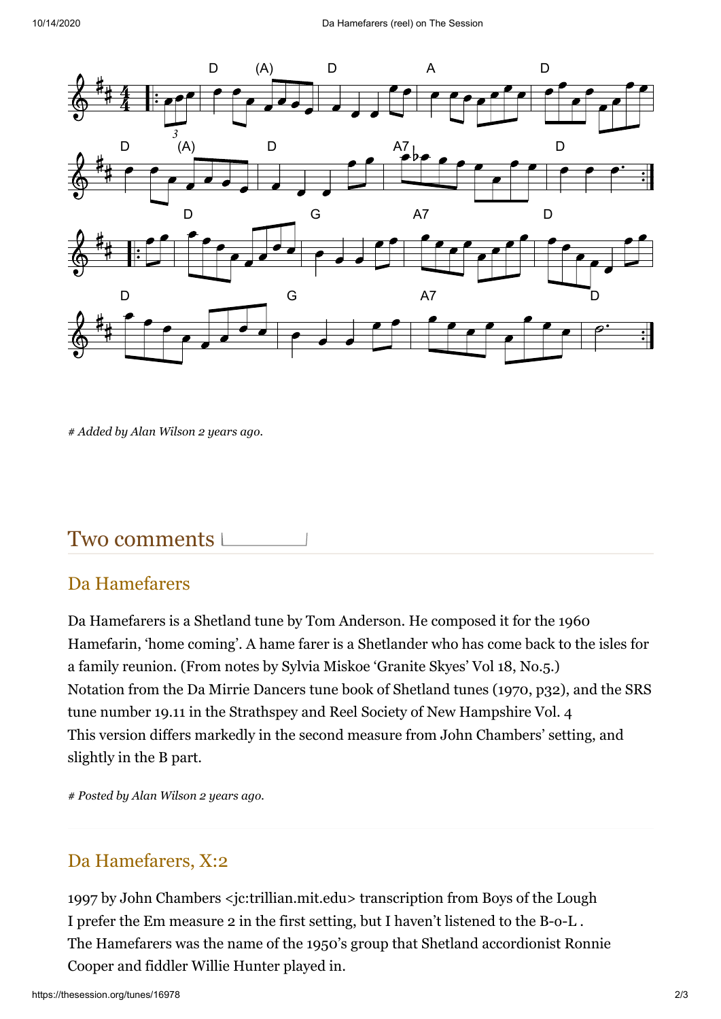<span id="page-1-0"></span>

*[#](#page-0-2) Added by [Alan Wilson](https://thesession.org/members/58125) 2 years ago.*

## Two comments L

### <span id="page-1-1"></span>Da Hamefarers

Da Hamefarers is a Shetland tune by Tom Anderson. He composed it for the 1960 Hamefarin, 'home coming'. A hame farer is a Shetlander who has come back to the isles for a family reunion. (From notes by Sylvia Miskoe 'Granite Skyes' Vol 18, No.5.) Notation from the Da Mirrie Dancers tune book of Shetland tunes (1970, p32), and the SRS tune number 19.11 in the Strathspey and Reel Society of New Hampshire Vol. 4 This version differs markedly in the second measure from John Chambers' setting, and slightly in the B part.

*[#](#page-1-1) Posted by [Alan Wilson](https://thesession.org/members/58125) 2 years ago.*

### <span id="page-1-2"></span>Da Hamefarers, X:2

1997 by John Chambers <jc:trillian.mit.edu> transcription from Boys of the Lough I prefer the Em measure 2 in the first setting, but I haven't listened to the B-o-L . The Hamefarers was the name of the 1950's group that Shetland accordionist Ronnie Cooper and fiddler Willie Hunter played in.